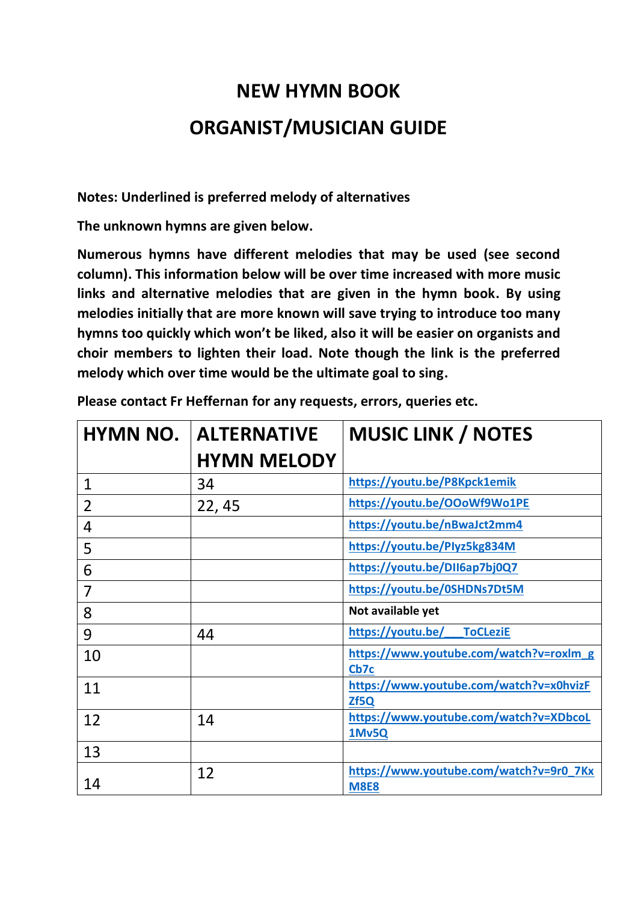## **NEW HYMN BOOK ORGANIST/MUSICIAN GUIDE**

**Notes: Underlined is preferred melody of alternatives**

**The unknown hymns are given below.**

**Numerous hymns have different melodies that may be used (see second column). This information below will be over time increased with more music links and alternative melodies that are given in the hymn book. By using melodies initially that are more known will save trying to introduce too many hymns too quickly which won't be liked, also it will be easier on organists and choir members to lighten their load. Note though the link is the preferred melody which over time would be the ultimate goal to sing.**

| <b>HYMN NO.</b> | <b>ALTERNATIVE</b><br><b>HYMN MELODY</b> | <b>MUSIC LINK / NOTES</b>                              |
|-----------------|------------------------------------------|--------------------------------------------------------|
| $\mathbf 1$     | 34                                       | https://youtu.be/P8Kpck1emik                           |
| $\overline{2}$  | 22, 45                                   | https://youtu.be/OOoWf9Wo1PE                           |
| 4               |                                          | https://youtu.be/nBwaJct2mm4                           |
| 5               |                                          | https://youtu.be/Plyz5kg834M                           |
| 6               |                                          | https://youtu.be/DII6ap7bj0Q7                          |
| $\overline{7}$  |                                          | https://youtu.be/0SHDNs7Dt5M                           |
| 8               |                                          | Not available yet                                      |
| 9               | 44                                       | https://youtu.be/<br><b>ToCLeziE</b>                   |
| 10              |                                          | https://www.youtube.com/watch?v=roxlm g<br>Cb7c        |
| 11              |                                          | https://www.youtube.com/watch?v=x0hvizF<br>Zf5Q        |
| 12              | 14                                       | https://www.youtube.com/watch?v=XDbcoL<br>1Mv5Q        |
| 13              |                                          |                                                        |
| 14              | 12                                       | https://www.youtube.com/watch?v=9r0 7Kx<br><b>M8E8</b> |

**Please contact Fr Heffernan for any requests, errors, queries etc.**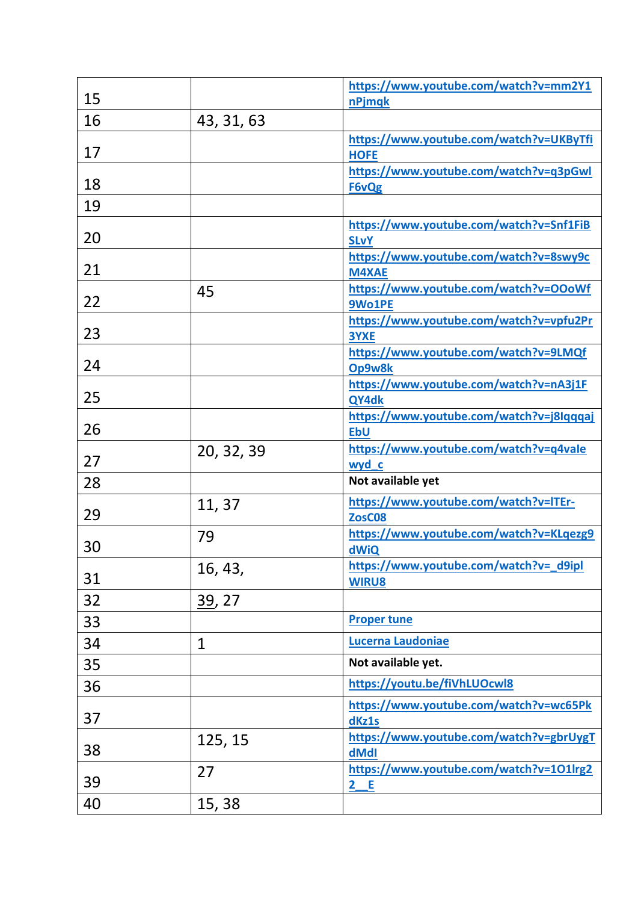| 15 |              | https://www.youtube.com/watch?v=mm2Y1<br>nPjmqk        |
|----|--------------|--------------------------------------------------------|
| 16 | 43, 31, 63   |                                                        |
| 17 |              | https://www.youtube.com/watch?v=UKByTfi<br><b>HOFE</b> |
| 18 |              | https://www.youtube.com/watch?v=q3pGwl<br>F6vQg        |
| 19 |              |                                                        |
| 20 |              | https://www.youtube.com/watch?v=Snf1FiB<br><b>SLvY</b> |
| 21 |              | https://www.youtube.com/watch?v=8swy9c<br><b>M4XAE</b> |
| 22 | 45           | https://www.youtube.com/watch?v=OOoWf<br>9Wo1PE        |
| 23 |              | https://www.youtube.com/watch?v=vpfu2Pr<br>3YXE        |
| 24 |              | https://www.youtube.com/watch?v=9LMQf<br>Op9w8k        |
| 25 |              | https://www.youtube.com/watch?v=nA3j1F<br>QY4dk        |
| 26 |              | https://www.youtube.com/watch?v=j8Iqqqaj<br><b>EbU</b> |
| 27 | 20, 32, 39   | https://www.youtube.com/watch?v=q4vale<br>wyd c        |
| 28 |              | Not available yet                                      |
| 29 | 11, 37       | https://www.youtube.com/watch?v=ITEr-<br>ZosC08        |
| 30 | 79           | https://www.youtube.com/watch?v=KLqezg9<br>dWiQ        |
| 31 | 16, 43,      | https://www.youtube.com/watch?v= d9ipl<br><b>WIRU8</b> |
| 32 | 39, 27       |                                                        |
| 33 |              | <b>Proper tune</b>                                     |
| 34 | $\mathbf{1}$ | <b>Lucerna Laudoniae</b>                               |
| 35 |              | Not available yet.                                     |
| 36 |              | https://youtu.be/fiVhLUOcwl8                           |
| 37 |              | https://www.youtube.com/watch?v=wc65Pk<br>dKz1s        |
| 38 | 125, 15      | https://www.youtube.com/watch?v=gbrUygT<br>dMdI        |
| 39 | 27           | https://www.youtube.com/watch?v=101lrg2<br>2 E         |
| 40 | 15, 38       |                                                        |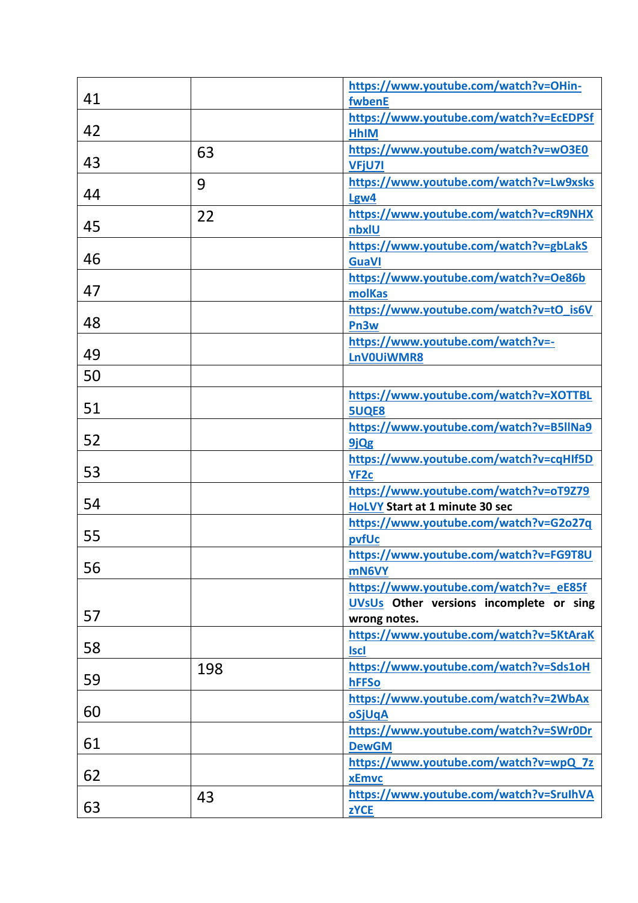|    |     | https://www.youtube.com/watch?v=OHin-   |
|----|-----|-----------------------------------------|
| 41 |     | fwbenE                                  |
|    |     | https://www.youtube.com/watch?v=EcEDPSf |
| 42 |     | <b>HhIM</b>                             |
|    | 63  | https://www.youtube.com/watch?v=wO3E0   |
| 43 |     | <b>VFjU7I</b>                           |
|    | 9   | https://www.youtube.com/watch?v=Lw9xsks |
| 44 |     | Lgw4                                    |
|    | 22  | https://www.youtube.com/watch?v=cR9NHX  |
| 45 |     | nbxlU                                   |
|    |     | https://www.youtube.com/watch?v=gbLakS  |
| 46 |     | <b>GuaVI</b>                            |
|    |     | https://www.youtube.com/watch?v=Oe86b   |
| 47 |     | molKas                                  |
|    |     | https://www.youtube.com/watch?v=tO_is6V |
| 48 |     | Pn <sub>3w</sub>                        |
|    |     | https://www.youtube.com/watch?v=-       |
| 49 |     | LnV0UiWMR8                              |
| 50 |     |                                         |
|    |     | https://www.youtube.com/watch?v=XOTTBL  |
| 51 |     | <b>5UQE8</b>                            |
|    |     | https://www.youtube.com/watch?v=B5llNa9 |
| 52 |     | 9jQg                                    |
|    |     | https://www.youtube.com/watch?v=cqHIf5D |
| 53 |     | YF <sub>2c</sub>                        |
|    |     | https://www.youtube.com/watch?v=oT9Z79  |
| 54 |     | <b>HoLVY Start at 1 minute 30 sec</b>   |
|    |     | https://www.youtube.com/watch?v=G2o27q  |
| 55 |     | pvfUc                                   |
|    |     | https://www.youtube.com/watch?v=FG9T8U  |
| 56 |     | mN6VY                                   |
|    |     | https://www.youtube.com/watch?v=_eE85f  |
|    |     | UVsUs Other versions incomplete or sing |
| 57 |     | wrong notes.                            |
|    |     | https://www.youtube.com/watch?v=5KtAraK |
| 58 |     | <b>Iscl</b>                             |
|    | 198 | https://www.youtube.com/watch?v=Sds1oH  |
| 59 |     | hFFSo                                   |
|    |     | https://www.youtube.com/watch?v=2WbAx   |
| 60 |     | oSjUqA                                  |
|    |     | https://www.youtube.com/watch?v=SWr0Dr  |
| 61 |     | <b>DewGM</b>                            |
|    |     | https://www.youtube.com/watch?v=wpQ 7z  |
| 62 |     | <b>xEmvc</b>                            |
|    | 43  | https://www.youtube.com/watch?v=SruIhVA |
| 63 |     |                                         |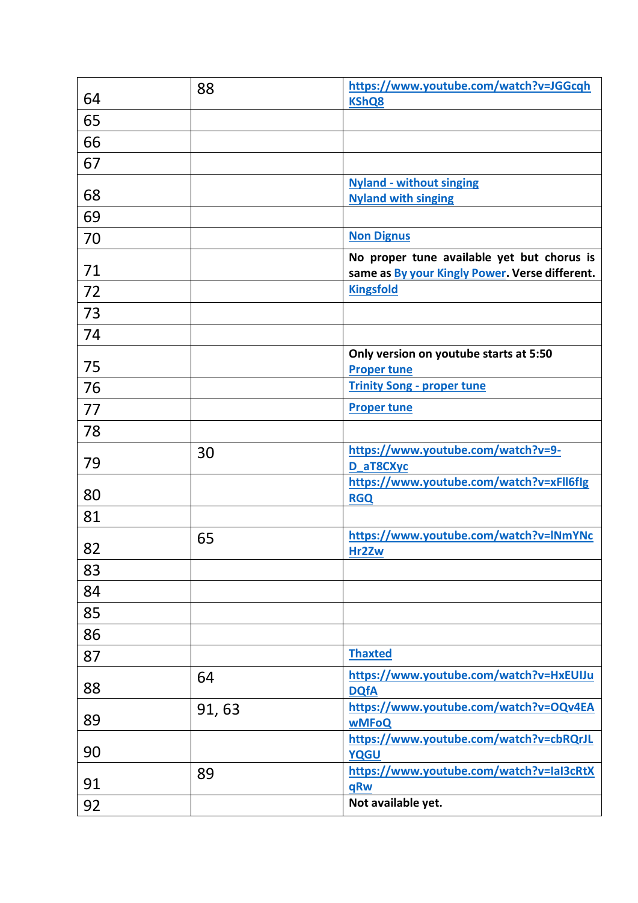| 64 | 88     | https://www.youtube.com/watch?v=JGGcqh<br><b>KShQ8</b>                                       |
|----|--------|----------------------------------------------------------------------------------------------|
| 65 |        |                                                                                              |
| 66 |        |                                                                                              |
| 67 |        |                                                                                              |
| 68 |        | <b>Nyland - without singing</b><br><b>Nyland with singing</b>                                |
| 69 |        |                                                                                              |
| 70 |        | <b>Non Dignus</b>                                                                            |
| 71 |        | No proper tune available yet but chorus is<br>same as By your Kingly Power. Verse different. |
| 72 |        | <b>Kingsfold</b>                                                                             |
| 73 |        |                                                                                              |
| 74 |        |                                                                                              |
| 75 |        | Only version on youtube starts at 5:50<br><b>Proper tune</b>                                 |
| 76 |        | <b>Trinity Song - proper tune</b>                                                            |
| 77 |        | <b>Proper tune</b>                                                                           |
| 78 |        |                                                                                              |
| 79 | 30     | https://www.youtube.com/watch?v=9-<br>D_aT8CXyc                                              |
| 80 |        | https://www.youtube.com/watch?v=xFll6flg<br><b>RGQ</b>                                       |
| 81 |        |                                                                                              |
| 82 | 65     | https://www.youtube.com/watch?v=INmYNc<br>Hr2Zw                                              |
| 83 |        |                                                                                              |
| 84 |        |                                                                                              |
| 85 |        |                                                                                              |
| 86 |        |                                                                                              |
| 87 |        | <b>Thaxted</b>                                                                               |
| 88 | 64     | https://www.youtube.com/watch?v=HxEUIJu<br><b>DQfA</b>                                       |
| 89 | 91, 63 | https://www.youtube.com/watch?v=OQv4EA<br><b>wMFoQ</b>                                       |
| 90 |        | https://www.youtube.com/watch?v=cbRQrJL<br><b>YQGU</b>                                       |
| 91 | 89     | https://www.youtube.com/watch?v=laI3cRtX<br>qRw                                              |
| 92 |        | Not available yet.                                                                           |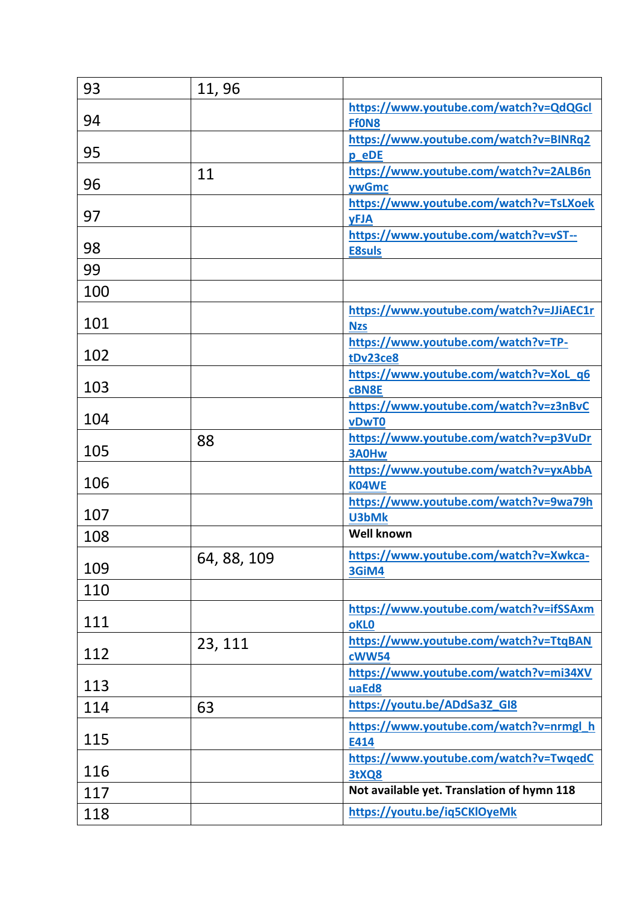| 93  | 11,96       |                                                        |
|-----|-------------|--------------------------------------------------------|
| 94  |             | https://www.youtube.com/watch?v=QdQGcl<br>Ff0N8        |
| 95  |             | https://www.youtube.com/watch?v=BINRq2<br>p eDE        |
| 96  | 11          | https://www.youtube.com/watch?v=2ALB6n<br>ywGmc        |
| 97  |             | https://www.youtube.com/watch?v=TsLXoek<br><b>yFJA</b> |
| 98  |             | https://www.youtube.com/watch?v=vST--<br><b>E8suls</b> |
| 99  |             |                                                        |
| 100 |             |                                                        |
| 101 |             | https://www.youtube.com/watch?v=JJiAEC1r<br><b>Nzs</b> |
| 102 |             | https://www.youtube.com/watch?v=TP-<br>tDv23ce8        |
| 103 |             | https://www.youtube.com/watch?v=XoL q6<br>cBN8E        |
| 104 |             | https://www.youtube.com/watch?v=z3nBvC<br>vDwT0        |
| 105 | 88          | https://www.youtube.com/watch?v=p3VuDr<br>3A0Hw        |
| 106 |             | https://www.youtube.com/watch?v=yxAbbA<br>K04WE        |
| 107 |             | https://www.youtube.com/watch?v=9wa79h<br>U3bMk        |
| 108 |             | <b>Well known</b>                                      |
| 109 | 64, 88, 109 | https://www.youtube.com/watch?v=Xwkca-<br>3GiM4        |
| 110 |             |                                                        |
| 111 |             | https://www.youtube.com/watch?v=ifSSAxm<br><b>oKLO</b> |
| 112 | 23, 111     | https://www.youtube.com/watch?v=TtqBAN<br><b>cWW54</b> |
| 113 |             | https://www.youtube.com/watch?v=mi34XV<br>uaEd8        |
| 114 | 63          | https://youtu.be/ADdSa3Z_GI8                           |
| 115 |             | https://www.youtube.com/watch?v=nrmgl_h<br>E414        |
| 116 |             | https://www.youtube.com/watch?v=TwqedC<br>3tXQ8        |
| 117 |             | Not available yet. Translation of hymn 118             |
| 118 |             | https://youtu.be/iq5CKlOyeMk                           |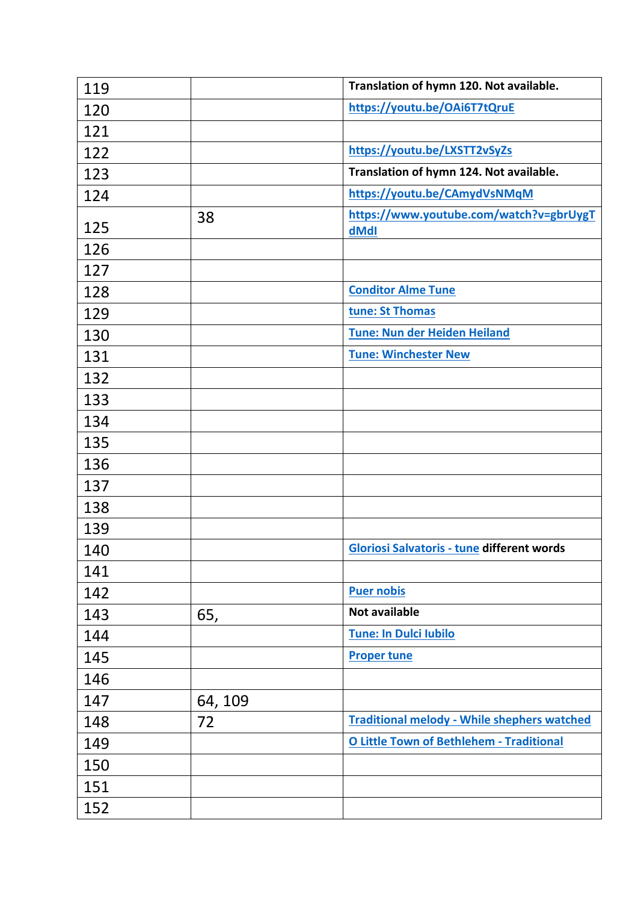| 119 |         | Translation of hymn 120. Not available.            |
|-----|---------|----------------------------------------------------|
| 120 |         | https://youtu.be/OAi6T7tQruE                       |
| 121 |         |                                                    |
| 122 |         | https://youtu.be/LXSTT2vSyZs                       |
| 123 |         | Translation of hymn 124. Not available.            |
| 124 |         | https://youtu.be/CAmydVsNMqM                       |
| 125 | 38      | https://www.youtube.com/watch?v=gbrUygT<br>dMdI    |
| 126 |         |                                                    |
| 127 |         |                                                    |
| 128 |         | <b>Conditor Alme Tune</b>                          |
| 129 |         | tune: St Thomas                                    |
| 130 |         | <b>Tune: Nun der Heiden Heiland</b>                |
| 131 |         | <b>Tune: Winchester New</b>                        |
| 132 |         |                                                    |
| 133 |         |                                                    |
| 134 |         |                                                    |
| 135 |         |                                                    |
| 136 |         |                                                    |
| 137 |         |                                                    |
| 138 |         |                                                    |
| 139 |         |                                                    |
| 140 |         | <b>Gloriosi Salvatoris - tune different words</b>  |
| 141 |         |                                                    |
| 142 |         | <b>Puer nobis</b>                                  |
| 143 | 65,     | <b>Not available</b>                               |
| 144 |         | <b>Tune: In Dulci Iubilo</b>                       |
| 145 |         | <b>Proper tune</b>                                 |
| 146 |         |                                                    |
| 147 | 64, 109 |                                                    |
| 148 | 72      | <b>Traditional melody - While shephers watched</b> |
| 149 |         | <b>O Little Town of Bethlehem - Traditional</b>    |
| 150 |         |                                                    |
| 151 |         |                                                    |
| 152 |         |                                                    |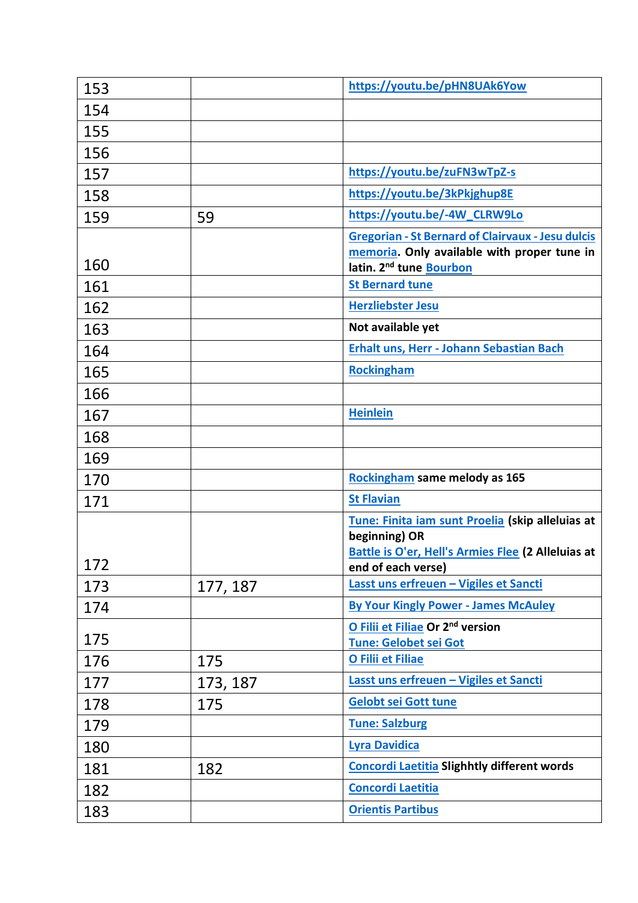| 153 |          | https://youtu.be/pHN8UAk6Yow                                                                                                                   |
|-----|----------|------------------------------------------------------------------------------------------------------------------------------------------------|
| 154 |          |                                                                                                                                                |
| 155 |          |                                                                                                                                                |
| 156 |          |                                                                                                                                                |
| 157 |          | https://youtu.be/zuFN3wTpZ-s                                                                                                                   |
| 158 |          | https://youtu.be/3kPkjghup8E                                                                                                                   |
| 159 | 59       | https://youtu.be/-4W_CLRW9Lo                                                                                                                   |
| 160 |          | <b>Gregorian - St Bernard of Clairvaux - Jesu dulcis</b><br>memoria. Only available with proper tune in<br>latin. 2 <sup>nd</sup> tune Bourbon |
| 161 |          | <b>St Bernard tune</b>                                                                                                                         |
| 162 |          | <b>Herzliebster Jesu</b>                                                                                                                       |
| 163 |          | Not available yet                                                                                                                              |
| 164 |          | Erhalt uns, Herr - Johann Sebastian Bach                                                                                                       |
| 165 |          | <b>Rockingham</b>                                                                                                                              |
| 166 |          |                                                                                                                                                |
| 167 |          | <b>Heinlein</b>                                                                                                                                |
| 168 |          |                                                                                                                                                |
| 169 |          |                                                                                                                                                |
| 170 |          | Rockingham same melody as 165                                                                                                                  |
| 171 |          | <b>St Flavian</b>                                                                                                                              |
| 172 |          | Tune: Finita iam sunt Proelia (skip alleluias at<br>beginning) OR<br>Battle is O'er, Hell's Armies Flee (2 Alleluias at<br>end of each verse)  |
| 173 | 177, 187 | Lasst uns erfreuen - Vigiles et Sancti                                                                                                         |
| 174 |          | <b>By Your Kingly Power - James McAuley</b>                                                                                                    |
| 175 |          | O Filii et Filiae Or 2 <sup>nd</sup> version<br><b>Tune: Gelobet sei Got</b>                                                                   |
| 176 | 175      | O Filii et Filiae                                                                                                                              |
| 177 | 173, 187 | Lasst uns erfreuen - Vigiles et Sancti                                                                                                         |
| 178 | 175      | <b>Gelobt sei Gott tune</b>                                                                                                                    |
| 179 |          | <b>Tune: Salzburg</b>                                                                                                                          |
| 180 |          | <b>Lyra Davidica</b>                                                                                                                           |
| 181 | 182      | Concordi Laetitia Slighhtly different words                                                                                                    |
| 182 |          | <b>Concordi Laetitia</b>                                                                                                                       |
| 183 |          | <b>Orientis Partibus</b>                                                                                                                       |